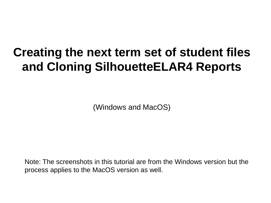## **Creating the next term set of student files and Cloning SilhouetteELAR4 Reports**

(Windows and MacOS)

Note: The screenshots in this tutorial are from the Windows version but the process applies to the MacOS version as well.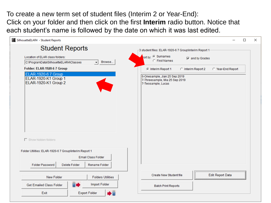To create a new term set of student files (Interim 2 or Year-End): Click on your folder and then click on the first **Interim** radio button. Notice that each student's name is followed by the date on which it was last edited.

| 4. SilhouetteELAR4 - Student Reports                                                | $\times$<br>П                                                                         |
|-------------------------------------------------------------------------------------|---------------------------------------------------------------------------------------|
| <b>Student Reports</b>                                                              | 3 student files: ELAR-1920-6 7 Group\Interim Report 1                                 |
| Location of ELAR class folders:<br>Browse<br>C:\ProgramData\SilhouetteELAR4\Classes | ort by: C Surnames<br>$\nabla$ and by Grades<br><b>C</b> First Names                  |
| Folder: ELAR-1920-6 7 Group                                                         | C Interim Report 1<br>C Interim Report 2<br>C Year-End Report                         |
| ELAR-1920-6 7 Group<br>ELAR-1920-K1 Group 1<br>ELAR-1920-K1 Group 2                 | 6-Onesample, Jian 25 Sep 2019<br>7-Threesample, Mia 25 Sep 2019<br>7-Twosample, Lucas |
| $\Box$ Show hidden folders                                                          |                                                                                       |
| Folder Utilities: ELAR-1920-6 7 Group\Interim Report 1                              |                                                                                       |
| <b>Email Class Folder</b>                                                           |                                                                                       |
| Folder Password<br>Delete Folder<br>Rename Folder                                   |                                                                                       |
| <b>New Folder</b><br><b>Folders Utilities</b>                                       | <b>Edit Report Data</b><br>Create New Student file                                    |
| H.<br>Import Folder<br>Get Emailed Class Folder                                     | <b>Batch Print Reports</b>                                                            |
| Exit<br><b>Export Folder</b>                                                        |                                                                                       |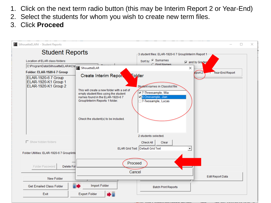- 1. Click on the next term radio button (this may be Interim Report 2 or Year-End)
- 2. Select the students for whom you wish to create new term files.
- 3. Click **Proceed**

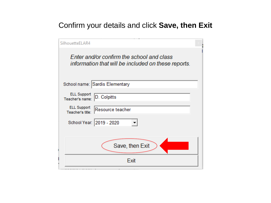## Confirm your details and click **Save, then Exit**

| SilhouetteELAR4                                                                                  |  |
|--------------------------------------------------------------------------------------------------|--|
| Enter and/or confirm the school and class<br>information that will be included on these reports. |  |
| School name: Sardis Elementary                                                                   |  |
| <b>ELL Support</b><br>D. Colpitts<br>Teacher's name:                                             |  |
| <b>ELL Support</b><br>Resource teacher<br>Teacher's title:                                       |  |
| School Year: 2019 - 2020                                                                         |  |
|                                                                                                  |  |
| Save, then Exit                                                                                  |  |
| Exit                                                                                             |  |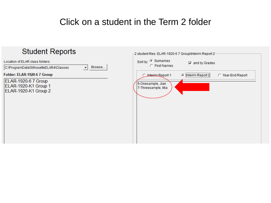## Click on a student in the Term 2 folder

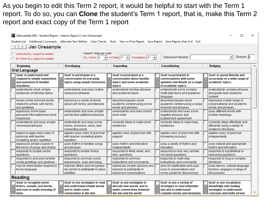As you begin to edit this Term 2 report, it would be helpful to start with the Term 1 report. To do so, you can **Clone** the student's Term 1 report, that is, make this Term 2 report and exact copy of the Term 1 report

| 4 SilhouetteELAR4 - Student Report - Interim Report 2: Jian Onesample<br>×<br>Student List Additional Comments Alternate Text Utilities Clear Checks Tools View or Print Report Save Report Save Report, then Exit Exit                                       |                |                                                                                                                |  |                                                                                                               |  |                                                                                                                     |  |                                                                                                          |   |  |
|---------------------------------------------------------------------------------------------------------------------------------------------------------------------------------------------------------------------------------------------------------------|----------------|----------------------------------------------------------------------------------------------------------------|--|---------------------------------------------------------------------------------------------------------------|--|---------------------------------------------------------------------------------------------------------------------|--|----------------------------------------------------------------------------------------------------------|---|--|
| $\leq$ 1<br>$>$ 1                                                                                                                                                                                                                                             | Jian Onesample |                                                                                                                |  |                                                                                                               |  |                                                                                                                     |  |                                                                                                          |   |  |
| Support: times per week-<br>C Continued ELL support is needed<br>Division: 2<br>$\vert \cdot \vert$<br>$\ln$ -Class: 0 $\blacktriangledown$<br>Consultation: 0 -<br>Classroom teacher:<br>ELL Centre: 0<br>$\mathbf{r}$<br>C No further ELL support is needed |                |                                                                                                                |  |                                                                                                               |  |                                                                                                                     |  |                                                                                                          |   |  |
| <b>Beginning</b>                                                                                                                                                                                                                                              |                | Developing                                                                                                     |  | <b>Expanding</b>                                                                                              |  | Consolidating                                                                                                       |  | <b>Bridging</b>                                                                                          |   |  |
| <b>Oral Language</b>                                                                                                                                                                                                                                          |                |                                                                                                                |  |                                                                                                               |  |                                                                                                                     |  |                                                                                                          |   |  |
| <b>Goal: to understand and</b><br>respond to simple statements<br>and questions in familiar<br>situations.                                                                                                                                                    |                | Goal: to participate in a<br>conversation on everyday<br>topics using simple structures.                       |  | Goal: to participate in a<br>conversation about familiar<br>topics and some academic<br>topics.               |  | Goal: to participate in<br>conversations with some<br>opinions and details on a range<br>of academic topics.        |  | Goal: to speak fluently and<br>accurately on a wide range of<br>academic topics.                         |   |  |
| understands short, simple<br>sentences on familiar topics                                                                                                                                                                                                     |                | understands and uses routine<br>classroom phrases                                                              |  | understands familiar phrases<br>and academic tasks                                                            |  | understands some complex<br>multi-step tasks and academic<br>language                                               |  | understands complex phrases<br>and grade level academic<br>content                                       |   |  |
| knows some common words<br>related to school, self, family,<br>and greetings                                                                                                                                                                                  |                | expresses a variety of words<br>about self, family, and interests                                              |  | describes/speaks about<br>academic content using some<br>words and phrases                                    |  | describes/speaks about<br>academic content using a range<br>of words and phrases                                    |  | expresses a wide range of<br>conversational and academic<br>words and phrases                            |   |  |
| expresses some basic<br>personal information/one-word<br>responses                                                                                                                                                                                            |                | understands and uses simple<br>and familiar patterned phrases                                                  |  | understands and uses correct<br>word order                                                                    |  | understands and uses some<br>negative phrases and<br>subject-verb-agreement                                         |  | uses different words with<br>similar meanings                                                            |   |  |
| understands and uses simple<br>memorized phrases                                                                                                                                                                                                              |                | understands and uses some<br>nouns, pronouns, verbs, and<br>connecting words                                   |  | connects ideas to make short<br>sentences                                                                     |  | connects ideas to make long<br>sentences                                                                            |  | connects ideas effectively and<br>efficiently using a variety of<br>sentence structures                  |   |  |
| begins to apply basic rules of<br>grammar with teacher<br>modelling and/or repetition                                                                                                                                                                         |                | applies basic rules of grammar<br>with teacher modelling and/or<br>repetition                                  |  | applies rules of grammar with<br>support                                                                      |  | applies rules of grammar with<br>increasing accuracy                                                                |  | applies rules of grammar<br>independently                                                                |   |  |
| expresses simple sounds in<br>the forms of songs and chants                                                                                                                                                                                                   |                | uses rhythm in familiar songs<br>and phrases                                                                   |  | uses rhythm and intonation<br>independently                                                                   |  | uses a variety of rhythm and<br>intonation                                                                          |  | uses natural and appropriate<br>rhythm and intonation                                                    |   |  |
| responds to simple yes/no<br>questions                                                                                                                                                                                                                        |                | responds to simple choice<br>questions                                                                         |  | responds to what, when, and<br>who, questions                                                                 |  | responds to how, why, and tell<br>me about questions                                                                |  | responds to hypothetical or<br>reasoning questions                                                       |   |  |
| responds to and uses familiar<br>social greetings and gestures                                                                                                                                                                                                |                | responds to common social<br>expressions, cues and slang                                                       |  | responds to common<br>instructions and commands                                                               |  | responds to multi-step<br>instructions and commands                                                                 |  | responds to long or complex<br>directions                                                                |   |  |
| may be silent and/or respond in<br>home language                                                                                                                                                                                                              |                | watches others and recognizes<br>key words to participate in class<br>activities                               |  | expresses simple opinions and<br>reasons to participate in<br>classroom conversations                         |  | asks for clarification and uses<br>cues in conversations and<br>some academic discussions                           |  | uses idioms, cultural language,<br>humour; engages in range of<br>discussions                            |   |  |
| <b>Reading</b>                                                                                                                                                                                                                                                |                |                                                                                                                |  |                                                                                                               |  |                                                                                                                     |  |                                                                                                          |   |  |
| Goal: to recognize some<br>letters, sounds, and words,<br>and start to make meaning of<br>texts.                                                                                                                                                              |                | Goal: to use strategies to read<br>and understand simple words<br>and to make some<br>connections to the text. |  | Goal: to use strategies to<br>decode new words, and to<br>make connections between<br>the text and the world. |  | Goal: to use a variety of<br>strategies to read unfamiliar<br>text and to understand<br>complex words and meanings. |  | Goal: to use vocabulary<br>knowledge and reading<br>strategies to understand<br>concepts and make strong | v |  |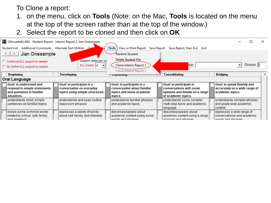## To Clone a report:

- 1. on the menu, click on **Tools** (Note: on the Mac, **Tools** is located on the menu at the top of the screen rather than at the top of the window.)
- 2. Select the report to be cloned and then click on **OK**

|                                                                                                                                                                                                                        | 4. SilhouetteELAR4 - Student Report - Interim Report 2: Jian Onesample |  |                                                             |  |                                                         |  |                                                                       |  |                                                                    |  |
|------------------------------------------------------------------------------------------------------------------------------------------------------------------------------------------------------------------------|------------------------------------------------------------------------|--|-------------------------------------------------------------|--|---------------------------------------------------------|--|-----------------------------------------------------------------------|--|--------------------------------------------------------------------|--|
|                                                                                                                                                                                                                        | Student List Additional Comments Alternate Text Utilities              |  |                                                             |  | Tools                                                   |  | View or Print Report Save Report Save Report, then Exit Exit          |  |                                                                    |  |
|                                                                                                                                                                                                                        | Jian Onesample<br>$\leq$ 1<br>∠ >⊵<br>Rename Student                   |  |                                                             |  |                                                         |  |                                                                       |  |                                                                    |  |
| Delete Student File<br>Support: times per we<br>C Continued ELL support is needed<br>Division: 2<br>ELL Centre: 0<br>Clone Interim Report 1<br>ther:<br>$\overline{\phantom{a}}$<br>C No further ELL support is needed |                                                                        |  |                                                             |  |                                                         |  |                                                                       |  |                                                                    |  |
|                                                                                                                                                                                                                        | <b>Beginning</b>                                                       |  | Developing                                                  |  | Clone Interim Report 2                                  |  | Consolidating                                                         |  | <b>Bridging</b>                                                    |  |
|                                                                                                                                                                                                                        | Lapanumy<br><b>Oral Language</b>                                       |  |                                                             |  |                                                         |  |                                                                       |  |                                                                    |  |
|                                                                                                                                                                                                                        | <b>Goal: to understand and</b>                                         |  | Goal: to participate in a                                   |  | Goal: to participate in a                               |  | Goal: to participate in                                               |  | Goal: to speak fluently and                                        |  |
|                                                                                                                                                                                                                        | respond to simple statements<br>and questions in familiar              |  | conversation on everyday<br>topics using simple structures. |  | conversation about familiar<br>topics and some academic |  | conversations with some<br>opinions and details on a range            |  | accurately on a wide range of<br>academic topics.                  |  |
|                                                                                                                                                                                                                        | situations.                                                            |  |                                                             |  | topics.                                                 |  | of academic topics.                                                   |  |                                                                    |  |
|                                                                                                                                                                                                                        | understands short, simple<br>sentences on familiar topics              |  | understands and uses routine<br>classroom phrases           |  | understands familiar phrases<br>and academic tasks      |  | understands some complex<br>multi-step tasks and academic<br>language |  | understands complex phrases<br>and grade level academic<br>content |  |
|                                                                                                                                                                                                                        | knows some common words                                                |  | expresses a variety of words                                |  | describes/speaks about                                  |  | describes/speaks about                                                |  | expresses a wide range of                                          |  |
|                                                                                                                                                                                                                        | related to school, self, family,<br>and greatings                      |  | about self, family, and interests                           |  | academic content using some<br>worde and phraeae        |  | academic content using a range<br>of worde and phrases                |  | conversational and academic<br>worde and phraeae                   |  |